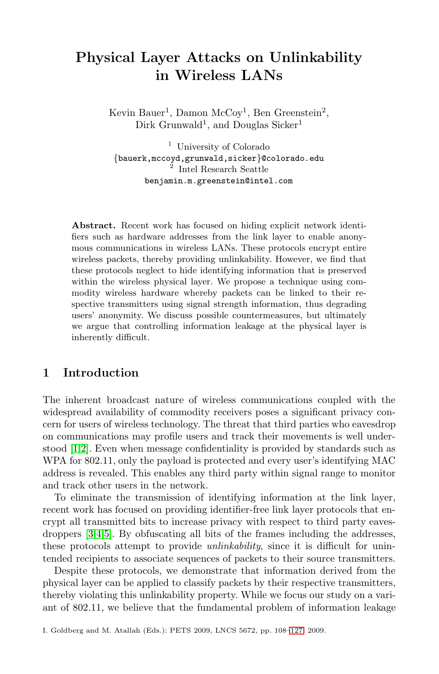# **Physical Layer Attacks on Unlinkability in Wireless LANs**

Kevin Bauer<sup>1</sup>, Damon McCoy<sup>1</sup>, Ben Greenstein<sup>2</sup>, Dirk Grunwald<sup>1</sup>, and Douglas Sicker<sup>1</sup>

<sup>1</sup> University of Colorado *{*bauerk,mccoyd,grunwald,sicker*}*@colorado.edu <sup>2</sup> Intel Research Seattle benjamin.m.greenstein@intel.com

**Abstract.** Recent work has focused on hiding explicit network identifiers such as hardware addresses from the link layer to enable anonymous communications in wireless LANs. These protocols encrypt entire wireless packets, thereby providing unlinkability. However, we find that these protocols neglect to hide identifying information that is preserved within the wireless physical layer. We propose a technique using commodity wireless hardware whereby packets can be linked to their respective transmitters using signal strength information, thus degrading users' anonymity. We discuss possible countermeasures, but ultimately we argue that controlling information leakage at the physical layer is inherently difficult.

# **1 Introduction**

The inherent broadcast nature of wireless communications coupled with the widespread availability of commodity receivers poses a significant privacy concern for users of wireless technology. The threat that third parties who eavesdrop on communications may profile users and track their movements is well understood [1,2]. Even when message confidentiality is provided by standards such as WPA for 802.11, only the payload is protected and every user's identifying MAC address is revealed. This enables any third party within signal range to monitor and track other users in the network.

To eliminate the transmission of identifying information at the link layer, recent work has focused on providing identifier-free link layer protocols that encrypt all transmitted bits to increase privacy with respect to third party eavesdroppers [3,4,5]. By obfuscating all [bits](#page-19-0) of the frames including the addresses, these protocols attempt to provide *unlinkability*, since it is difficult for unintended recipients to associate sequences of packets to their source transmitters.

Despite these protocols, we demonstrate that information derived from the physical layer can be applied to classify packets by their respective transmitters, thereby violating this unlinkability property. While we focus our study on a variant of 802.11, we believe that the fundamental problem of information leakage

I. Goldberg and M. Atallah (Eds.): PETS 2009, LNCS 5672, pp. 108–127, 2009.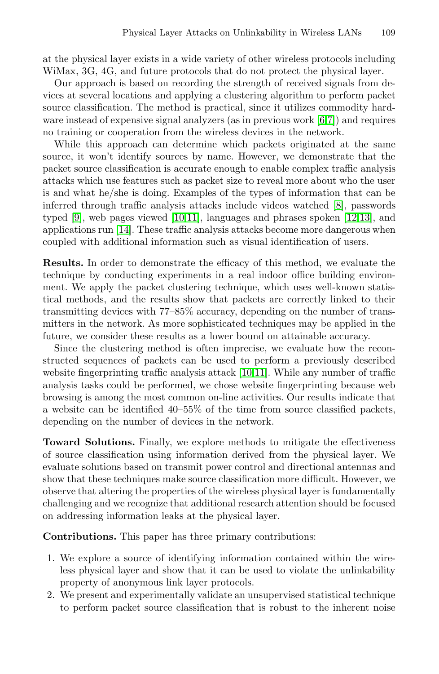at the physical layer exists in a wide variety of other wireless protocols including WiMax, 3G, 4G, and future protocols that do not protect the physical layer.

Our approach is based on recording the strength of received signals from devices at several locations and applying a clustering algorithm to perform packet source classification. The method is practical, [sin](#page-16-2)ce it utilizes commodity hardware inste[ad](#page-16-3) [of e](#page-16-4)xpensive signal analyzers (as in p[revi](#page-16-5)[ou](#page-16-6)s work [6,7]) and requires [n](#page-16-7)o training or cooperation from the wireless devices in the network.

While this approach can determine which packets originated at the same source, it won't identify sources by name. However, we demonstrate that the packet source classification is accurate enough to enable complex traffic analysis attacks which use features such as packet size to reveal more about who the user is and what he/she is doing. Examples of the types of information that can be inferred through traffic analysis attacks include videos watched [8], passwords typed [9], web pages viewed [10,11], languages and phrases spoken [12,13], and applications run [14]. These traffic analysis attacks become more dangerous when coupled with additional information such as visual identification of users.

**Results.** In order to demonstrate the efficacy of this method, we evaluate the technique by conducting [ex](#page-16-3)[peri](#page-16-4)ments in a real indoor office building environment. We apply the packet clustering technique, which uses well-known statistical methods, and the results show that packets are correctly linked to their transmitting devices with 77–85% accuracy, depending on the number of transmitters in the network. As more sophisticated techniques may be applied in the future, we consider these results as a lower bound on attainable accuracy.

Since the clustering method is often imprecise, we evaluate how the reconstructed sequences of packets can be used to perform a previously described website fingerprinting traffic analysis attack [10,11]. While any number of traffic analysis tasks could be performed, we chose website fingerprinting because web browsing is among the most common on-line activities. Our results indicate that a website can be identified 40–55% of the time from source classified packets, depending on the number of devices in the network.

**Toward Solutions.** Finally, we explore methods to mitigate the effectiveness of source classification using information derived from the physical layer. We evaluate solutions based on transmit power control and directional antennas and show that these techniques make source classification more difficult. However, we observe that altering the properties of the wireless physical layer is fundamentally challenging and we recognize that additional research attention should be focused on addressing information leaks at the physical layer.

**Contributions.** This paper has three primary contributions:

- 1. We explore a source of identifying information contained within the wireless physical layer and show that it can be used to violate the unlinkability property of anonymous link layer protocols.
- 2. We present and experimentally validate an unsupervised statistical technique to perform packet source classification that is robust to the inherent noise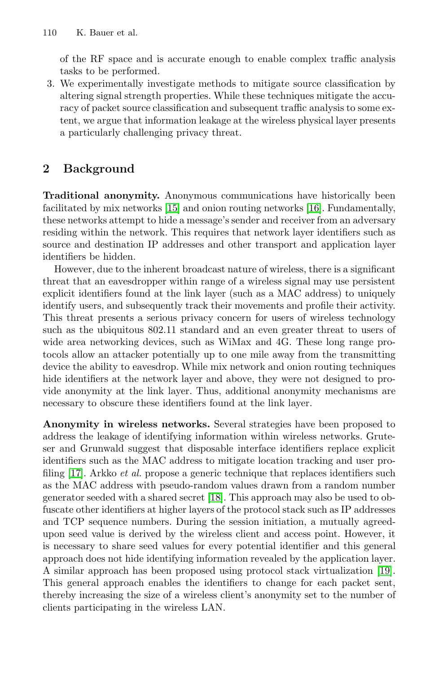of the RF space and is accurate enough to enable complex traffic analysis tasks to be performed.

3. We experimentally investigate methods to mitigate source classification by altering signal strength properties. While these techniques mitigate the accuracy [of p](#page-16-8)acket source classification an[d su](#page-16-9)bsequent traffic analysis to some extent, we argue that information leakage at the wireless physical layer presents a particularly challenging privacy threat.

# **2 Background**

**Traditional anonymity.** Anonymous communications have historically been facilitated by mix networks [15] and onion routing networks [16]. Fundamentally, these networks attempt to hide a message's sender and receiver from an adversary residing within the network. This requires that network layer identifiers such as source and destination IP addresses and other transport and application layer identifiers be hidden.

However, due to the inherent broadcast nature of wireless, there is a significant threat that an eavesdropper within range of a wireless signal may use persistent explicit identifiers found at the link layer (such as a MAC address) to uniquely identify users, and subsequently track their movements and profile their activity. This threat presents a serious privacy concern for users of wireless technology such as the ubiquitous 802.11 standard and an even greater threat to users of wide area networking devices, such as WiMax and 4G. These long range protocols allow an attacker potentially up to one mile away from the transmitting device the ability to eavesdrop. While mix network and onion routing techniques hide identifiers at the network layer and above, they were not designed to provide anonymity at the link layer. Thus, additional anonymity mechanisms are necessary to obscu[re t](#page-16-10)hese identifiers found at the link layer.

**Anonymity in wireless networks.** Several strategies have been proposed to address the leakage of identifying information within wireless networks. Gruteser and Grunwald suggest that disposable interface identifiers replace explicit identifiers such as the MAC address to mitigate location tracking and user profiling [17]. Arkko *et al.* propose a generic technique that [repl](#page-16-11)aces identifiers such as the MAC address with pseudo-random values drawn from a random number generator seeded with a shared secret [18]. This approach may also be used to obfuscate other identifiers at higher layers of the protocol stack such as IP addresses and TCP sequence numbers. During the session initiation, a mutually agreedupon seed value is derived by the wireless client and access point. However, it is necessary to share seed values for every potential identifier and this general approach does not hide identifying information revealed by the application layer. A similar approach has been proposed using protocol stack virtualization [19]. This general approach enables the identifiers to change for each packet sent, thereby increasing the size of a wireless client's anonymity set to the number of clients participating in the wireless LAN.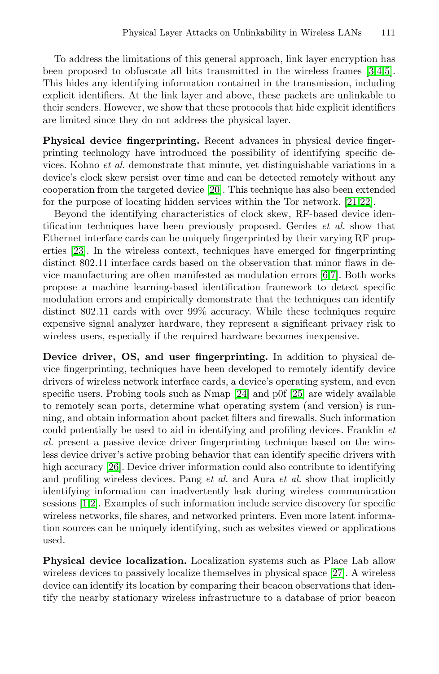To address the limitations of this general approach, link layer encryption has been proposed to obfuscate all bits transmitted in the wireless frames [3,4,5]. This hides any identifying information contained in the transmission, including explicit identifiers[. At](#page-16-12) the link layer and above, these packets are unlinkable to their senders. However, we show that these protoc[ols](#page-16-13) [tha](#page-17-0)t hide explicit identifiers are limited since they do not address the physical layer.

**Physical device fingerprinting.** Recent advances in physical device fingerprinting technology have introduced the possibility of identifying specific devices. Kohno *et al.* demonstrate that minute, yet distinguishable variations in a device's clock skew persist over time and ca[n](#page-16-0) [be](#page-16-1) detected remotely without any cooperation from the targeted device [20]. This technique has also been extended for the purpose of locating hidden services within the Tor network. [21,22].

Beyond the identifying characteristics of clock skew, RF-based device identification techniques have been previously proposed. Gerdes *et al.* show that Ethernet interface cards can be uniquely fingerprinted by their varying RF properties [23]. In the wireless context, techniques have emerged for fingerprinting distinct 802.11 interface cards based on the observation that minor flaws in device manufacturing are often manifested as modulation errors [6,7]. Both works propose a machine learning-based identification framework to detect specific modulation errors and e[mpi](#page-17-1)rically de[mo](#page-17-2)nstrate that the techniques can identify distinct 802.11 cards with over 99% accuracy. While these techniques require expensive signal analyzer hardware, they represent a significant privacy risk to wireless users, especially if the required hardware becomes inexpensive.

**Device driver, OS, and user fingerprinting.** In addition to physical device fingerprinting, techniques have been developed to remotely identify device drivers of wireless network interface cards, a device's operating system, and even specific users. Probing tools such as Nmap [24] and p0f [25] are widely available to remotely scan ports, determine what operating system (and version) is running, and obtain information about packet filters and firewalls. Such information could potentially be used to aid in identifying and profiling devices. Franklin *et al.* present a passive device driver fingerprinting technique based on the wireless device driver's active probing behavior that can identify specific drivers with high accuracy [26]. Device driver information could also contribute to identifying and profiling wireless devices. Pang *et al.* an[d A](#page-17-3)ura *et al.* show that implicitly identifying information can inadvertently leak during wireless communication sessions [1,2]. Examples of such information include service discovery for specific wireless networks, file shares, and networked printers. Even more latent information sources can be uniquely identifying, such as websites viewed or applications used.

**Physical device localization.** Localization systems such as Place Lab allow wireless devices to passively localize themselves in physical space [27]. A wireless device can identify its location by comparing their beacon observations that identify the nearby stationary wireless infrastructure to a database of prior beacon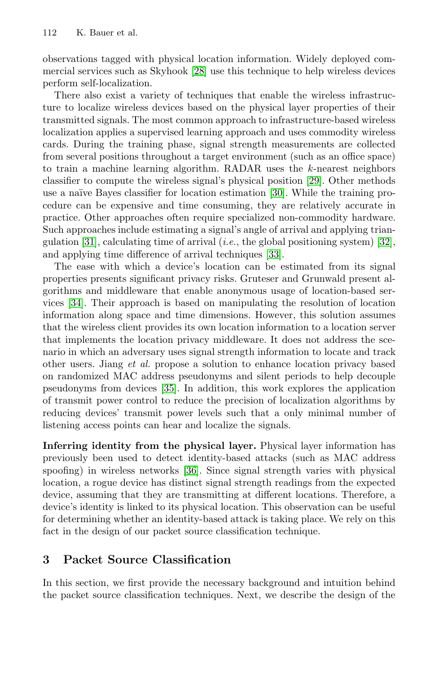observations tagged with physical location information. Widely deployed commercial services such as Skyhook [28] use this technique to help wireless devices perform self-localization.

There also exist a variety of [tec](#page-17-5)hniq[ues](#page-17-4) that enable the wireless infrastructure to localize wireless devices based on the physical layer properties of their transmitted signals. The most common approach to infrastructure-based wireless localization applies a supervised learning approach and uses commodity wireless cards. During the training phase, signal strength meas[ure](#page-17-6)ments are collected from several positions througho[ut a](#page-17-7) target environment (such as an office space) to train a machine learning algorithm. RADAR uses the *k*-nearest neighbors classifier to compute the wireless signal's physical position [29]. Other methods use a naïve Bayes classifier for location estimation [30]. While the training procedure can be expensive and time consuming, they are relatively accurate in practice. Other approaches often require specialized non-commodity hardware. Such approaches include estimating a signal's angle of arrival and applying triangulation [31], calculating time of arrival (*i.e.*, the global positioning system) [32], and applying time difference of arrival techniques [33].

The ease with which a device's location can be estimated from its signal properties presents significant privacy risks. Gruteser and Grunwald present algorithm[s an](#page-17-8)d middleware that enable anonymous usage of location-based services [34]. Their approach is based on manipulating the resolution of location information along space and time dimensions. However, this solution assumes that the wireless client provides its own location information to a location server that implements the location privacy middleware. It does not address the scenario in which an adversary uses signal strength information to locate and track other users. Jiang *et al.* propose a solution to enhance location privacy based on randomiz[ed M](#page-17-9)AC address pseudonyms and silent periods to help decouple pseudonyms from devices [35]. In addition, this work explores the application of transmit power control to reduce the precision of localization algorithms by reducing devices' transmit power levels such that a only minimal number of listening access points can hear and localize the signals.

**Inferring identity from the physical layer.** Physical layer information has previously been used to detect identity-based attacks (such as MAC address spoofing) in wireless networks [36]. Since signal strength varies with physical location, a rogue device has distinct signal strength readings from the expected device, assuming that they are transmitting at different locations. Therefore, a device's identity is linked to its physical location. This observation can be useful for determining whether an identity-based attack is taking place. We rely on this fact in the design of our packet source classification technique.

# **3 Packet Source Classification**

In this section, we first provide the necessary background and intuition behind the packet source classification techniques. Next, we describe the design of the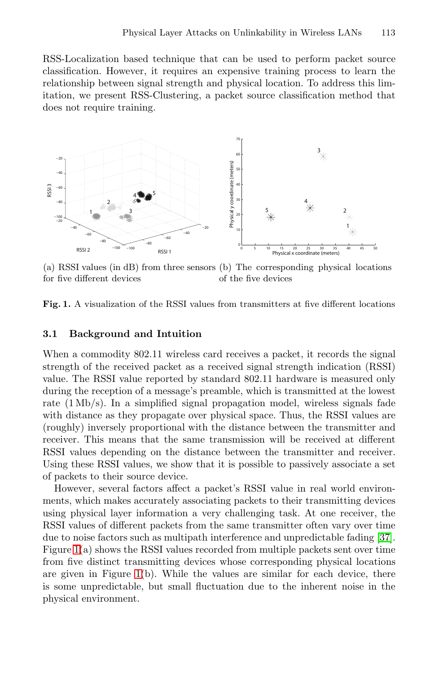RSS-Localization based technique that can be used to perform packet source classification. However, it requires an expensive training process to learn the relationship between signal strength and physical location. To address this limitation, we present RSS-Clustering, a packet source classification method that does not require training.



<span id="page-5-0"></span>(a) RSSI values (in dB) from three sensors (b) The corresponding physical locations for five different devices of the five devices

**Fig. 1.** A visualization of the RSSI values from transmitters at five different locations

### **3.1 Background and Intuition**

When a commodity 802.11 wireless card receives a packet, it records the signal strength of the received packet as a received signal strength indication (RSSI) value. The RSSI value reported by standard 802.11 hardware is measured only during the reception of a message's preamble, which is transmitted at the lowest rate (1 Mb/s). In a simplified signal propagation model, wireless signals fade with distance as they propagate over physical space. Thus, the RSSI values are (roughly) inversely proportional with the distance between the transmitter and receiver. This means that the same transmission will [be r](#page-17-10)eceived at different RSSI values depending on the distance between the transmitter and receiver. Using these RSSI values, we show that it is possible to passively associate a set o[f p](#page-5-0)ackets to their source device.

However, several factors affect a packet's RSSI value in real world environments, which makes accurately associating packets to their transmitting devices using physical layer information a very challenging task. At one receiver, the RSSI values of different packets from the same transmitter often vary over time due to noise factors such as multipath interference and unpredictable fading [37]. Figure 1(a) shows the RSSI values recorded from multiple packets sent over time from five distinct transmitting devices whose corresponding physical locations are given in Figure 1(b). While the values are similar for each device, there is some unpredictable, but small fluctuation due to the inherent noise in the physical environment.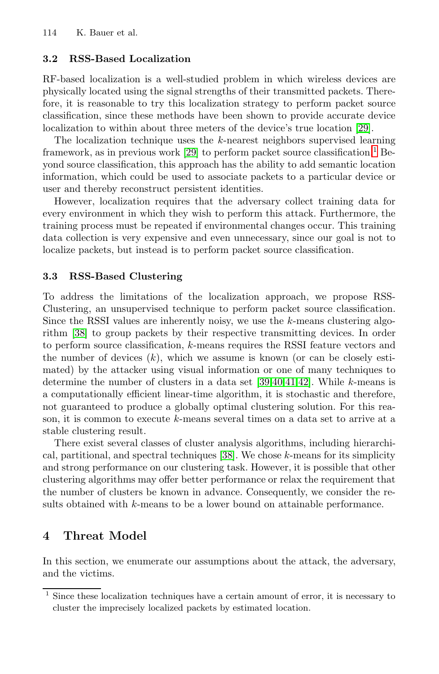# **3.2 RSS-[Bas](#page-17-4)ed Localization**

RF-based localization is a well-studied problem in which wireless devices are physically located using the signal strengths of their transmitted packets. Therefore, it is reasonable to try this localization strategy to perform packet source classification, since these methods have been shown to provide accurate device localization to within about three meters of the device's true location [29].

The localization technique uses the *k*-nearest neighbors supervised learning framework, as in previous work [29] to perform packet source classification.<sup>1</sup> Beyond source classification, this approach has the ability to add semantic location information, which could be used to associate packets to a particular device or user and thereby reconstruct persistent identities.

However, localization requires that the adversary collect training data for every environment in which they wish to perform this attack. Furthermore, the training process must be repeated if environmental changes occur. This training data collection is very expensive and even unnecessary, since our goal is not to localize packets, but instead is to perform packet source classification.

## **3.3 RSS-Based Clustering**

To address the limitations [of](#page-17-11) [th](#page-17-12)[e](#page-17-13) [l](#page-17-13)[oca](#page-18-0)lization approach, we propose RSS-Clustering, an unsupervised technique to perform packet source classification. Since the RSSI values are inherently noisy, we use the *k*-means clustering algorithm [38] to group packets by their respective transmitting devices. In order to perform source classification, *k*-means requires the RSSI feature vectors and the number of devices  $(k)$ , which we assume is known (or can be closely estimated) by the attacker using visual information or one of many techniques to determine the number of clusters in a data set [39,40,41,42]. While *k*-means is a computationally efficient linear-time algorithm, it is stochastic and therefore, not guaranteed to produce a globally optimal clustering solution. For this reason, it is common to execute *k*-means several times on a data set to arrive at a stable clustering result.

There exist several classes of cluster analysis algorithms, including hierarchical, partitional, and spectral techniques [38]. We chose *k*-means for its simplicity and strong performance on our clustering task. However, it is possible that other clustering algorithms may offer better performance or relax the requirement that the number of clusters be known in advance. Consequently, we consider the results obtained with *k*-means to be a lower bound on attainable performance.

# **4 Threat Model**

In this section, we enumerate our assumptions about the attack, the adversary, and the victims.

Since these localization techniques have a certain amount of error, it is necessary to cluster the imprecisely localized packets by estimated location.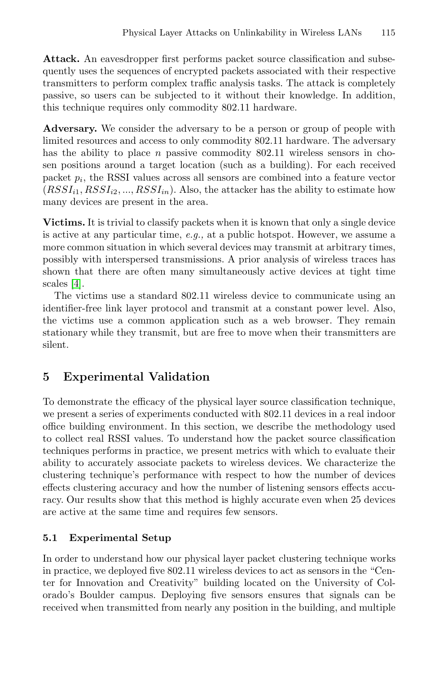**Attack.** An eavesdropper first performs packet source classification and subsequently uses the sequences of encrypted packets associated with their respective transmitters to perform complex traffic analysis tasks. The attack is completely passive, so users can be subjected to it without their knowledge. In addition, this technique requires only commodity 802.11 hardware.

**Adversary.** We consider the adversary to be a person or group of people with limited resources and access to only commodity 802.11 hardware. The adversary has the ability to place *n* passive commodity 802.11 wireless sensors in chosen positions around a target location (such as a building). For each received packet  $p_i$ , the RSSI values across all sensors are combined into a feature vector  $(RSSI<sub>i1</sub>, RSSI<sub>i2</sub>, ..., RSSI<sub>in</sub>)$ . Also, the attacker has the ability to estimate how many devices are present in the area.

**Victims.** It is trivial to classify packets when it is known that only a single device is active at any particular time, *e.g.,* at a public hotspot. However, we assume a more common situation in which several devices may transmit at arbitrary times, possibly with interspersed transmissions. A prior analysis of wireless traces has shown that there are often many simultaneously active devices at tight time scales [4].

<span id="page-7-0"></span>The victims use a standard 802.11 wireless device to communicate using an identifier-free link layer protocol and transmit at a constant power level. Also, the victims use a common application such as a web browser. They remain stationary while they transmit, but are free to move when their transmitters are silent.

# **5 Experimental Validation**

To demonstrate the efficacy of the physical layer source classification technique, we present a series of experiments conducted with 802.11 devices in a real indoor office building environment. In this section, we describe the methodology used to collect real RSSI values. To understand how the packet source classification techniques performs in practice, we present metrics with which to evaluate their ability to accurately associate packets to wireless devices. We characterize the clustering technique's performance with respect to how the number of devices effects clustering accuracy and how the number of listening sensors effects accuracy. Our results show that this method is highly accurate even when 25 devices are active at the same time and requires few sensors.

### **5.1 Experimental Setup**

In order to understand how our physical layer packet clustering technique works in practice, we deployed five 802.11 wireless devices to act as sensors in the "Center for Innovation and Creativity" building located on the University of Colorado's Boulder campus. Deploying five sensors ensures that signals can be received when transmitted from nearly any position in the building, and multiple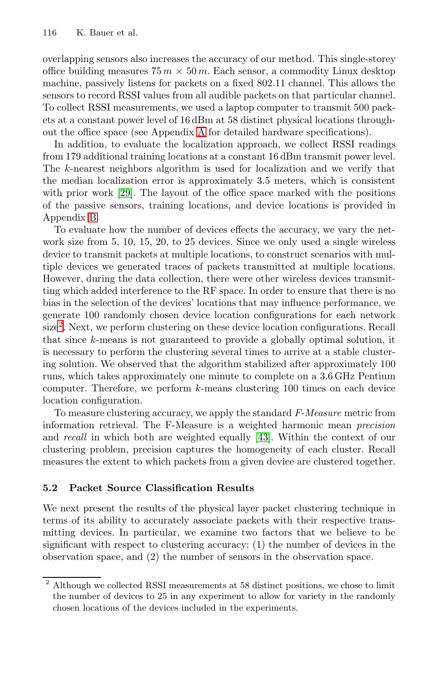overlapping sensors also increases the accuracy of our method. This single-storey office building measures  $75 \, m \times 50 \, m$ . Each sensor, a commodity Linux desktop machine, passively listens for packets on a fixed 802.11 channel. This allows the [se](#page-17-4)nsors to record RSSI values from all audible packets on that particular channel. To collect RSSI measurements, we used a laptop computer to transmit 500 packets at a constant power level of 16 dBm at 58 distinct physical locations throughout the office space (see Appendix A for detailed hardware specifications).

In addition, to evaluate the localization approach, we collect RSSI readings from 179 additional training locations at a constant 16 dBm transmit power level. The *k*-nearest neighbors algorithm is used for localization and we verify that the median localization error is approximately 3.5 meters, which is consistent with prior work [29]. The layout of the office space marked with the positions of the passive sensors, training locations, and device locations is provided in Appendix B.

To evaluate how the number of devices effects the accuracy, we vary the network size from 5, 10, 15, 20, to 25 devices. Since we only used a single wireless device to transmit packets at multiple locations, to construct scenarios with multiple devices we generated traces of packets transmitted at multiple locations. However, during the data collection, there were other wireless devices transmitting which added interference to the RF space. In order to ensure that there is no bias in the selection of the devices' locations that may influence performance, we generate 100 randomly chosen device location configurations for each network  $size<sup>2</sup>$ . Next, we perform clustering on these device location configurations. Recall that since *k*-means is not gu[aran](#page-18-2)teed to provide a globally optimal solution, it is necessary to perform the clustering several times to arrive at a stable clustering solution. We observed that the algorithm stabilized after approximately 100 runs, which takes approximately one minute to complete on a 3.6 GHz Pentium computer. Therefore, we perform *k*-means clustering 100 times on each device location configuration.

<span id="page-8-0"></span>To measure clustering accuracy, we apply the standard *F-Measure* metric from information retrieval. The F-Measure is a weighted harmonic mean *precision* and *recall* in which both are weighted equally [43]. Within the context of our clustering problem, precision captures the homogeneity of each cluster. Recall measures the extent to which packets from a given device are clustered together.

### **5.2 Packet Source Classification Results**

We next present the results of the physical layer packet clustering technique in terms of its ability to accurately associate packets with their respective transmitting devices. In particular, we examine two factors that we believe to be significant with respect to clustering accuracy: (1) the number of devices in the observation space, and (2) the number of sensors in the observation space.

 $^{\rm 2}$  Although we collected RSSI measurements at 58 distinct positions, we chose to limit the number of devices to 25 in any experiment to allow for variety in the randomly chosen locations of the devices included in the experiments.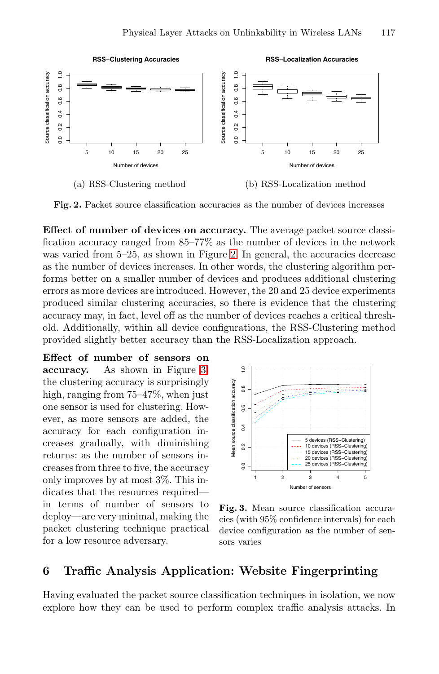<span id="page-9-0"></span>

**Fig. 2.** Packet source classification accuracies as the number of devices increases

**Effect of number of devices on accuracy.** The average packet source classification accuracy ranged from 85–77% as the number of devices in the network was varied from 5–25, as shown in Figure 2. In general, the accuracies decrease as the number of devices increases. In other words, the clustering algorithm performs better on [a](#page-9-1) smaller number of devices and produces additional clustering errors as more devices are introduced. However, the 20 and 25 device experiments produced similar clustering accuracies, so there is evidence that the clustering accuracy may, in fact, level off as the number of devices reaches a critical threshold. Additionally, within all device configurations, the RSS-Clustering method provided slightly better accuracy than the RSS-Localization approach.

**Effect of number of sensors on accuracy.** As shown in Figure 3, the clustering accuracy is surprisingly high, ranging from 75–47%, when just one sensor is used for clustering. However, as more sensors are added, the accuracy for each configuration increases gradually, with diminishing returns: as the number of sensors increases from three to five, the accuracy only improves by at most 3%. This indicates that the resources required in terms of number of sensors to deploy—are very minimal, making the packet clustering technique practical for a low resource adversary.

<span id="page-9-1"></span>

**Fig. 3.** Mean source classification accuracies (with 95% confidence intervals) for each device configuration as the number of sensors varies

# **6 Traffic Analysis Application: Website Fingerprinting**

Having evaluated the packet source classification techniques in isolation, we now explore how they can be used to perform complex traffic analysis attacks. In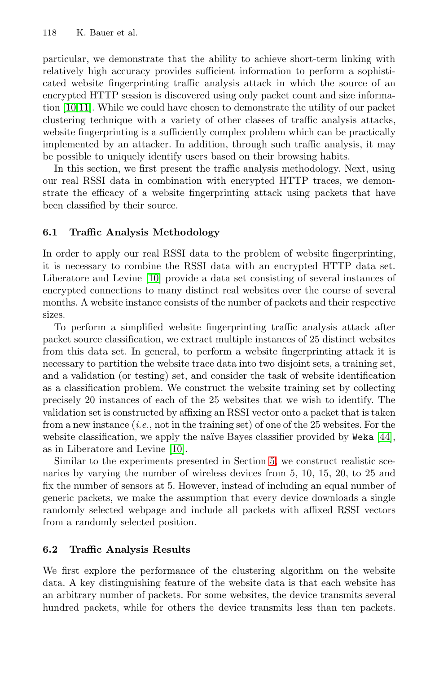particular, we demonstrate that the ability to achieve short-term linking with relatively high accuracy provides sufficient information to perform a sophisticated website fingerprinting traffic analysis attack in which the source of an encrypted HTTP session is discovered using only packet count and size information [10,11]. While we could have chosen to demonstrate the utility of our packet clustering technique with a variety of other classes of traffic analysis attacks, website fingerprinting is a sufficiently complex problem which can be practically implemented by an attacker. In addition, through such traffic analysis, it may be possible to uniquely identify users based on their browsing habits.

In this section, we first present the traffic analysis methodology. Next, using our [real](#page-16-3) RSSI data in combination with encrypted HTTP traces, we demonstrate the efficacy of a website fingerprinting attack using packets that have been classified by their source.

#### **6.1 Traffic Analysis Methodology**

In order to apply our real RSSI data to the problem of website fingerprinting, it is necessary to combine the RSSI data with an encrypted HTTP data set. Liberatore and Levine [10] provide a data set consisting of several instances of encrypted connections to many distinct real websites over the course of several months. A website instance consists of the number of packets and their respective sizes.

To perform a simplified website fingerprinting traffic analysis attack after packet source classification, we extract multiple instance[s of](#page-18-3) 25 distinct websites from this [da](#page-16-3)ta set. In general, to perform a website fingerprinting attack it is necessary to partition the websi[te](#page-7-0) trace data into two disjoint sets, a training set, and a validation (or testing) set, and consider the task of website identification as a classification problem. We construct the website training set by collecting precisely 20 instances of each of the 25 websites that we wish to identify. The validation set is constructed by affixing an RSSI vector onto a packet that is taken from a new instance (*i.e.*, not in the training set) of one of the 25 websites. For the website classification, we apply the naïve Bayes classifier provided by Weka [44], as in Liberatore and Levine [10].

Similar to the experiments presented in Section 5, we construct realistic scenarios by varying the number of wireless devices from 5, 10, 15, 20, to 25 and fix the number of sensors at 5. However, instead of including an equal number of generic packets, we make the assumption that every device downloads a single randomly selected webpage and include all packets with affixed RSSI vectors from a randomly selected position.

# **6.2 Traffic Analysis Results**

We first explore the performance of the clustering algorithm on the website data. A key distinguishing feature of the website data is that each website has an arbitrary number of packets. For some websites, the device transmits several hundred packets, while for others the device transmits less than ten packets.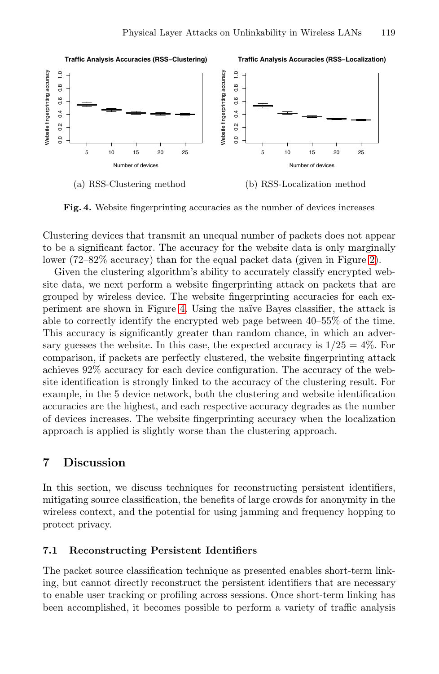<span id="page-11-0"></span>

**Fig. 4.** [W](#page-11-0)ebsite fingerprinting accuracies as the number of devices increases

Clustering devices that transmit an unequal number of packets does not appear to be a significant factor. The accuracy for the website data is only marginally lower (72–82% accuracy) than for the equal packet data (given in Figure 2).

Given the clustering algorithm's ability to accurately classify encrypted website data, we next perform a website fingerprinting attack on packets that are grouped by wireless device. The website fingerprinting accuracies for each experiment are shown in Figure 4. Using the naïve Bayes classifier, the attack is able to correctly identify the encrypted web page between 40–55% of the time. This accuracy is significantly greater than random chance, in which an adversary guesses the website. In this case, the expected accuracy is  $1/25 = 4\%$ . For comparison, if packets are perfectly clustered, the website fingerprinting attack achieves 92% accuracy for each device configuration. The accuracy of the website identification is strongly linked to the accuracy of the clustering result. For example, in the 5 device network, both the clustering and website identification accuracies are the highest, and each respective accuracy degrades as the number of devices increases. The website fingerprinting accuracy when the localization approach is applied is slightly worse than the clustering approach.

# **7 Discussion**

In this section, we discuss techniques for reconstructing persistent identifiers, mitigating source classification, the benefits of large crowds for anonymity in the wireless context, and the potential for using jamming and frequency hopping to protect privacy.

### **7.1 Reconstructing Persistent Identifiers**

The packet source classification technique as presented enables short-term linking, but cannot directly reconstruct the persistent identifiers that are necessary to enable user tracking or profiling across sessions. Once short-term linking has been accomplished, it becomes possible to perform a variety of traffic analysis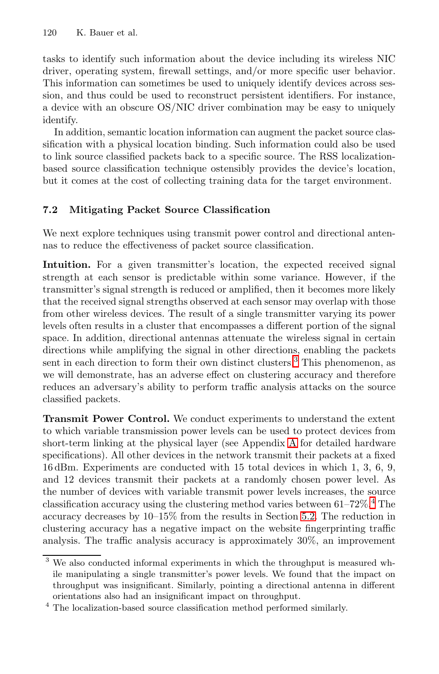tasks to identify such information about the device including its wireless NIC driver, operating system, firewall settings, and/or more specific user behavior. This information can sometimes be used to uniquely identify devices across session, and thus could be used to reconstruct persistent identifiers. For instance, a device with an obscure OS/NIC driver combination may be easy to uniquely identify.

In addition, semantic location information can augment the packet source classification with a physical location binding. Such information could also be used to link source classified packets back to a specific source. The RSS localizationbased source classification technique ostensibly provides the device's location, but it comes at the cost of collecting training data for the target environment.

## **7.2 Mitigating Packet Source Classification**

We next explore techniques using transmit power control and directional antennas to reduce the effectiveness of packet source classification.

**Intuition.** For a given transmitter['s](#page-12-0) location, the expected received signal strength at each sensor is predictable within some variance. However, if the transmitter's signal strength is reduced or amplified, then it becomes more likely that the received signal strengths observed at each sensor may overlap with those from other wireless devices. The result of a single transmitter varying its power levels often results in a cluster that encompasses a different portion of the signal space. In addition, directional antennas attenuate the wireless signal in certain directions while amplifying the sign[al](#page-18-1) in other directions, enabling the packets sent in each direction to form their own distinct clusters.<sup>3</sup> This phenomenon, as we will demonstrate, has an adverse effect on clustering accuracy and therefore reduces an adversary's ability to perform traffic analysis attacks on the source classified packets.

<span id="page-12-0"></span>**Transmit Power Control.** We cond[uct e](#page-8-0)xperiments [to](#page-12-1) understand the extent to which variable transmission power levels can be used to protect devices from short-term linking at the physical layer (see Appendix A for detailed hardware specifications). All other devices in the network transmit their packets at a fixed 16 dBm. Experiments are conducted with 15 total devices in which 1, 3, 6, 9, and 12 devices transmit their packets at a randomly chosen power level. As the number of devices with variable transmit power levels increases, the source classification accuracy using the clustering method varies between  $61-72\%$ .<sup>4</sup> The accuracy decreases by 10–15% from the results in Section 5.2. The reduction in clustering accuracy has a negative impact on the website fingerprinting traffic analysis. The traffic analysis accuracy is approximately 30%, an improvement

<span id="page-12-1"></span><sup>3</sup> We also conducted informal experiments in which the throughput is measured while manipulating a single transmitter's power levels. We found that the impact on throughput was insignificant. Similarly, pointing a directional antenna in different orientations also had an insignificant impact on throughput.

 $^4$  The localization-based source classification method performed similarly.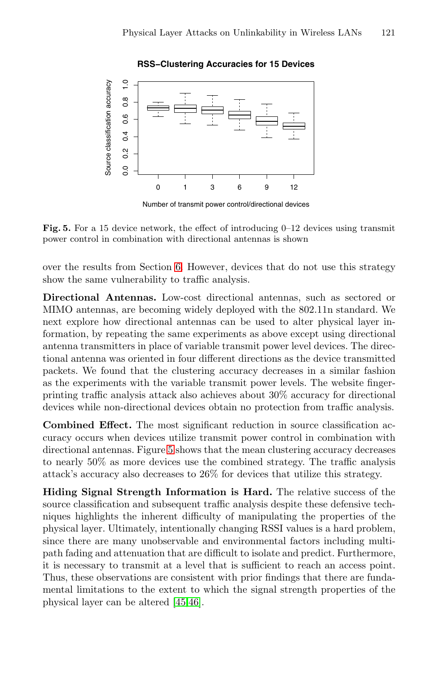

**RSS−Clustering Accuracies for 15 Devices**

Number of transmit power control/directional devices

<span id="page-13-0"></span>**Fig. 5.** For a 15 device network, the effect of introducing 0–12 devices using transmit power control in combination with directional antennas is shown

over the results from Section 6. However, devices that do not use this strategy show the same vulnerability to traffic analysis.

**Directional Antennas.** Low-cost directional antennas, such as sectored or MIMO antennas, are becoming widely deployed with the 802.11n standard. We next explore how directional antennas can be used to alter physical layer information, by repeating the same experiments as above except using directional antenna transmitters in place of variable transmit power level devices. The directional an[ten](#page-13-0)na was oriented in four different directions as the device transmitted packets. We found that the clustering accuracy decreases in a similar fashion as the experiments with the variable transmit power levels. The website fingerprinting traffic analysis attack also achieves about 30% accuracy for directional devices while non-directional devices obtain no protection from traffic analysis.

**Combined Effect.** The most significant reduction in source classification accuracy occurs when devices utilize transmit power control in combination with directional antennas. Figure 5 shows that the mean clustering accuracy decreases to nearly 50% as more devices use the combined strategy. The traffic analysis attack's accuracy also decreases to 26% for devices that utilize this strategy.

**Hiding Signal Strength Information is Hard.** The relative success of the source clas[sifi](#page-18-4)[cat](#page-18-5)ion and subsequent traffic analysis despite these defensive techniques highlights the inherent difficulty of manipulating the properties of the physical layer. Ultimately, intentionally changing RSSI values is a hard problem, since there are many unobservable and environmental factors including multipath fading and attenuation that are difficult to isolate and predict. Furthermore, it is necessary to transmit at a level that is sufficient to reach an access point. Thus, these observations are consistent with prior findings that there are fundamental limitations to the extent to which the signal strength properties of the physical layer can be altered [45,46].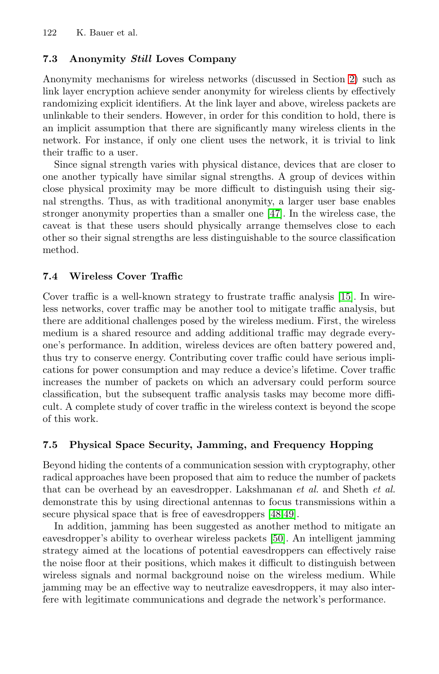# **7.3 Anonymity** *Still* **Loves Company**

Anonymity mechanisms for wireless networks (discussed in Section 2) such as link layer encryption achieve sender anonymity for wireless clients by effectively randomizing explicit identifiers. At the link layer and above, wireless packets are unlinkable to their senders. Ho[weve](#page-18-6)r, in order for this condition to hold, there is an implicit assumption that there are significantly many wireless clients in the network. For instance, if only one client uses the network, it is trivial to link their traffic to a user.

Since signal strength varies with physical distance, devices that are closer to one another typically have similar signal strengths. A group of devices within close physical proximity may be more difficult to distinguish using their signal strengths. Thus, as with traditional anony[mity](#page-16-8), a larger user base enables stronger anonymity properties than a smaller one [47]. In the wireless case, the caveat is that these users should physically arrange themselves close to each other so their signal strengths are less distinguishable to the source classification method.

# **7.4 Wireless Cover Traffic**

Cover traffic is a well-known strategy to frustrate traffic analysis [15]. In wireless networks, cover traffic may be another tool to mitigate traffic analysis, but there are additional challenges posed by the wireless medium. First, the wireless medium is a shared resource and adding additional traffic may degrade everyone's performance. In addition, wireless devices are often battery powered and, thus try to conserve energy. Contributing cover traffic could have serious implications for power consumption and may reduce a device's lifetime. Cover traffic increases the number of packets on which an adversary could perform source classification, but the subsequent traffic analysis tasks may become more difficult. A complete study of cover traffic in the wireless context is beyond the scope of this work.

### **7.5 Physical Space Securit[y, J](#page-18-7)amming, and Frequency Hopping**

Beyond hiding the contents of a communication session with cryptography, other radical approaches have been proposed that aim to reduce the number of packets that can be overhead by an eavesdropper. Lakshmanan *et al.* and Sheth *et al.* demonstrate this by using directional antennas to focus transmissions within a secure physical space that is free of eavesdroppers [48,49].

In addition, jamming has been suggested as another method to mitigate an eavesdropper's ability to overhear wireless packets [50]. An intelligent jamming strategy aimed at the locations of potential eavesdroppers can effectively raise the noise floor at their positions, which makes it difficult to distinguish between wireless signals and normal background noise on the wireless medium. While jamming may be an effective way to neutralize eavesdroppers, it may also interfere with legitimate communications and degrade the network's performance.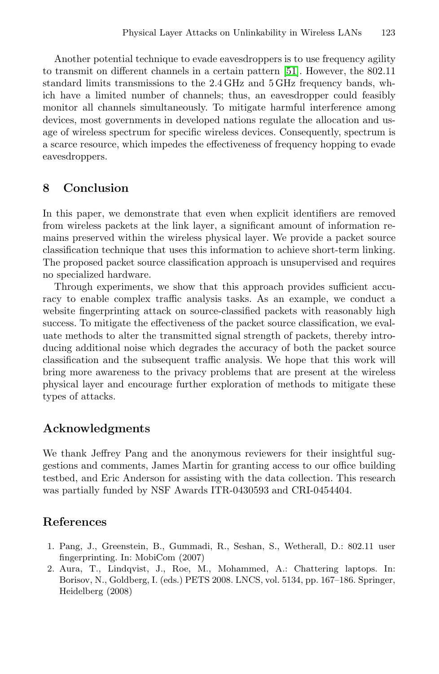Another potential technique to evade eavesdroppers is to use frequency agility to transmit on different channels in a certain pattern [51]. However, the 802.11 standard limits transmissions to the 2.4 GHz and 5 GHz frequency bands, which have a limited number of channels; thus, an eavesdropper could feasibly monitor all channels simultaneously. To mitigate harmful interference among devices, most governments in developed nations regulate the allocation and usage of wireless spectrum for specific wireless devices. Consequently, spectrum is a scarce resource, which impedes the effectiveness of frequency hopping to evade eavesdroppers.

# **8 Conclusion**

In this paper, we demonstrate that even when explicit identifiers are removed from wireless packets at the link layer, a significant amount of information remains preserved within the wireless physical layer. We provide a packet source classification technique that uses this information to achieve short-term linking. The proposed packet source classification approach is unsupervised and requires no specialized hardware.

Through experiments, we show that this approach provides sufficient accuracy to enable complex traffic analysis tasks. As an example, we conduct a website fingerprinting attack on source-classified packets with reasonably high success. To mitigate the effectiveness of the packet source classification, we evaluate methods to alter the transmitted signal strength of packets, thereby introducing additional noise which degrades the accuracy of both the packet source classification and the subsequent traffic analysis. We hope that this work will bring more awareness to the privacy problems that are present at the wireless physical layer and encourage further exploration of methods to mitigate these types of attacks.

# **Acknowledgments**

We thank Jeffrey Pang and the anonymous reviewers for their insightful suggestions and comments, James Martin for granting access to our office building testbed, and Eric Anderson for assisting with the data collection. This research was partially funded by NSF Awards ITR-0430593 and CRI-0454404.

# **References**

- 1. Pang, J., Greenstein, B., Gummadi, R., Seshan, S., Wetherall, D.: 802.11 user fingerprinting. In: MobiCom (2007)
- 2. Aura, T., Lindqvist, J., Roe, M., Mohammed, A.: Chattering laptops. In: Borisov, N., Goldberg, I. (eds.) PETS 2008. LNCS, vol. 5134, pp. 167–186. Springer, Heidelberg (2008)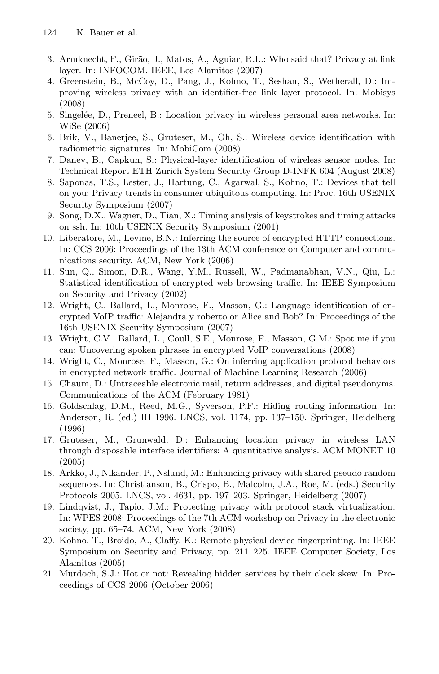- 3. Armknecht, F., Gir˜ao, J., Matos, A., Aguiar, R.L.: Who said that? Privacy at link layer. In: INFOCOM. IEEE, Los Alamitos (2007)
- 4. Greenstein, B., McCoy, D., Pang, J., Kohno, T., Seshan, S., Wetherall, D.: Improving wireless privacy with an identifier-free link layer protocol. In: Mobisys (2008)
- 5. Singelée, D., Preneel, B.: Location privacy in wireless personal area networks. In: WiSe (2006)
- <span id="page-16-0"></span>6. Brik, V., Banerjee, S., Gruteser, M., Oh, S.: Wireless device identification with radiometric signatures. In: MobiCom (2008)
- <span id="page-16-1"></span>7. Danev, B., Capkun, S.: Physical-layer identification of wireless sensor nodes. In: Technical Report ETH Zurich System Security Group D-INFK 604 (August 2008)
- <span id="page-16-2"></span>8. Saponas, T.S., Lester, J., Hartung, C., Agarwal, S., Kohno, T.: Devices that tell on you: Privacy trends in consumer ubiquitous computing. In: Proc. 16th USENIX Security Symposium (2007)
- 9. Song, D.X., Wagner, D., Tian, X.: Timing analysis of keystrokes and timing attacks on ssh. In: 10th USENIX Security Symposium (2001)
- <span id="page-16-3"></span>10. Liberatore, M., Levine, B.N.: Inferring the source of encrypted HTTP connections. In: CCS 2006: Proceedings of the 13th ACM conference on Computer and communications security. ACM, New York (2006)
- <span id="page-16-4"></span>11. Sun, Q., Simon, D.R., Wang, Y.M., Russell, W., Padmanabhan, V.N., Qiu, L.: Statistical identification of encrypted web browsing traffic. In: IEEE Symposium on Security and Privacy (2002)
- <span id="page-16-5"></span>12. Wright, C., Ballard, L., Monrose, F., Masson, G.: Language identification of encrypted VoIP traffic: Alejandra y roberto or Alice and Bob? In: Proceedings of the 16th USENIX Security Symposium (2007)
- <span id="page-16-6"></span>13. Wright, C.V., Ballard, L., Coull, S.E., Monrose, F., Masson, G.M.: Spot me if you can: Uncovering spoken phrases in encrypted VoIP conversations (2008)
- <span id="page-16-7"></span>14. Wright, C., Monrose, F., Masson, G.: On inferring application protocol behaviors in encrypted network traffic. Journal of Machine Learning Research (2006)
- <span id="page-16-8"></span>15. Chaum, D.: Untraceable electronic mail, return addresses, and digital pseudonyms. Communications of the ACM (February 1981)
- <span id="page-16-9"></span>16. Goldschlag, D.M., Reed, M.G., Syverson, P.F.: Hiding routing information. In: Anderson, R. (ed.) IH 1996. LNCS, vol. 1174, pp. 137–150. Springer, Heidelberg (1996)
- 17. Gruteser, M., Grunwald, D.: Enhancing location privacy in wireless LAN through disposable interface identifiers: A quantitative analysis. ACM MONET 10 (2005)
- <span id="page-16-10"></span>18. Arkko, J., Nikander, P., Nslund, M.: Enhancing privacy with shared pseudo random sequences. In: Christianson, B., Crispo, B., Malcolm, J.A., Roe, M. (eds.) Security Protocols 2005. LNCS, vol. 4631, pp. 197–203. Springer, Heidelberg (2007)
- <span id="page-16-11"></span>19. Lindqvist, J., Tapio, J.M.: Protecting privacy with protocol stack virtualization. In: WPES 2008: Proceedings of the 7th ACM workshop on Privacy in the electronic society, pp. 65–74. ACM, New York (2008)
- <span id="page-16-12"></span>20. Kohno, T., Broido, A., Claffy, K.: Remote physical device fingerprinting. In: IEEE Symposium on Security and Privacy, pp. 211–225. IEEE Computer Society, Los Alamitos (2005)
- <span id="page-16-13"></span>21. Murdoch, S.J.: Hot or not: Revealing hidden services by their clock skew. In: Proceedings of CCS 2006 (October 2006)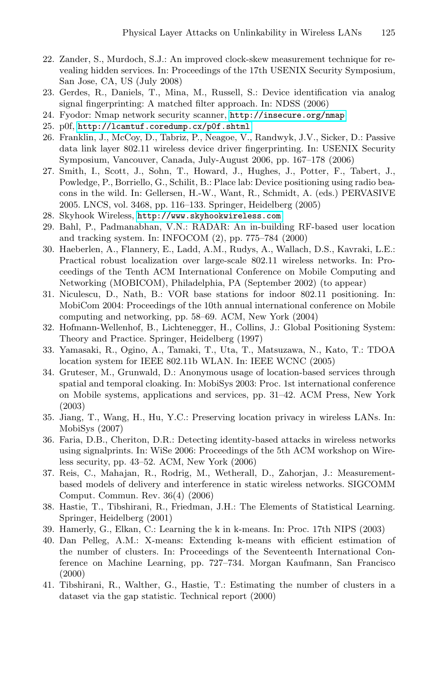- <span id="page-17-3"></span><span id="page-17-2"></span><span id="page-17-1"></span><span id="page-17-0"></span>22. Zander, S., Murdoch, S.J.: An improved clock-skew measurement technique for revealing hidden services. In: Proceedings of the 17th USENIX Security Symposium, San Jose, CA, US (July 2008)
- 23. Gerdes, R., Daniels, T., Mina, M., Russell, S.: Device identification via analog signal fingerprinting: A matched filter approach. In: NDSS (2006)
- 24. Fyodor: Nmap network security scanner, http://insecure.org/nmap
- <span id="page-17-4"></span>25. p0f, [http://lcamtuf.coredump.cx](http://www.skyhookwireless.com)/p0f.shtml
- <span id="page-17-5"></span>26. Franklin, J., McCoy, D., Tabriz, P., Neagoe, V., Randwyk, J.V., Sicker, D.: Passive data link layer 802.11 wireless device driver fingerprinting. In: USENIX Security Symposium, Vancouver, Canada, July-August 2006, pp. 167–178 (2006)
- 27. Smith, I., Scott, J., Sohn, T., Howard, J., Hughes, J., Potter, F., Tabert, J., Powledge, P., Borriello, G., Schilit, B.: Place lab: Device positioning using radio beacons in the wild. In: Gellersen, H.-W., Want, R., Schmidt, A. (eds.) PERVASIVE 2005. LNCS, vol. 3468, pp. 116–133. Springer, Heidelberg (2005)
- 28. Skyhook Wireless, http://www.skyhookwireless.com
- <span id="page-17-6"></span>29. Bahl, P., Padmanabhan, V.N.: RADAR: An in-building RF-based user location and tracking system. In: INFOCOM (2), pp. 775–784 (2000)
- <span id="page-17-7"></span>30. Haeberlen, A., Flannery, E., Ladd, A.M., Rudys, A., Wallach, D.S., Kavraki, L.E.: Practical robust localization over large-scale 802.11 wireless networks. In: Proceedings of the Tenth ACM International Conference on Mobile Computing and Networking (MOBICOM), Philadelphia, PA (September 2002) (to appear)
- 31. Niculescu, D., Nath, B.: VOR base stations for indoor 802.11 positioning. In: MobiCom 2004: Proceedings of the 10th annual international conference on Mobile computing and networking, pp. 58–69. ACM, New York (2004)
- <span id="page-17-9"></span><span id="page-17-8"></span>32. Hofmann-Wellenhof, B., Lichtenegger, H., Collins, J.: Global Positioning System: Theory and Practice. Springer, Heidelberg (1997)
- 33. Yamasaki, R., Ogino, A., Tamaki, T., Uta, T., Matsuzawa, N., Kato, T.: TDOA location system for IEEE 802.11b WLAN. In: IEEE WCNC (2005)
- <span id="page-17-10"></span>34. Gruteser, M., Grunwald, D.: Anonymous usage of location-based services through spatial and temporal cloaking. In: MobiSys 2003: Proc. 1st international conference on Mobile systems, applications and services, pp. 31–42. ACM Press, New York (2003)
- <span id="page-17-14"></span><span id="page-17-11"></span>35. Jiang, T., Wang, H., Hu, Y.C.: Preserving location privacy in wireless LANs. In: MobiSys (2007)
- <span id="page-17-12"></span>36. Faria, D.B., Cheriton, D.R.: Detecting identity-based attacks in wireless networks using signalprints. In: WiSe 2006: Proceedings of the 5th ACM workshop on Wireless security, pp. 43–52. ACM, New York (2006)
- <span id="page-17-13"></span>37. Reis, C., Mahajan, R., Rodrig, M., Wetherall, D., Zahorjan, J.: Measurementbased models of delivery and interference in static wireless networks. SIGCOMM Comput. Commun. Rev. 36(4) (2006)
- 38. Hastie, T., Tibshirani, R., Friedman, J.H.: The Elements of Statistical Learning. Springer, Heidelberg (2001)
- 39. Hamerly, G., Elkan, C.: Learning the k in k-means. In: Proc. 17th NIPS (2003)
- 40. Dan Pelleg, A.M.: X-means: Extending k-means with efficient estimation of the number of clusters. In: Proceedings of the Seventeenth International Conference on Machine Learning, pp. 727–734. Morgan Kaufmann, San Francisco (2000)
- 41. Tibshirani, R., Walther, G., Hastie, T.: Estimating the number of clusters in a dataset via the gap statistic. Technical report (2000)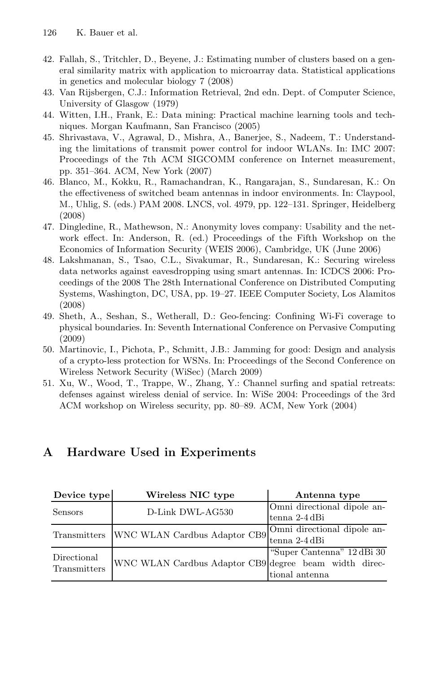- <span id="page-18-0"></span>42. Fallah, S., Tritchler, D., Beyene, J.: Estimating number of clusters based on a general similarity matrix with application to microarray data. Statistical applications in genetics and molecular biology 7 (2008)
- <span id="page-18-2"></span>43. Van Rijsbergen, C.J.: Information Retrieval, 2nd edn. Dept. of Computer Science, University of Glasgow (1979)
- <span id="page-18-3"></span>44. Witten, I.H., Frank, E.: Data mining: Practical machine learning tools and techniques. Morgan Kaufmann, San Francisco (2005)
- <span id="page-18-4"></span>45. Shrivastava, V., Agrawal, D., Mishra, A., Banerjee, S., Nadeem, T.: Understanding the limitations of transmit power control for indoor WLANs. In: IMC 2007: Proceedings of the 7th ACM SIGCOMM conference on Internet measurement, pp. 351–364. ACM, New York (2007)
- <span id="page-18-5"></span>46. Blanco, M., Kokku, R., Ramachandran, K., Rangarajan, S., Sundaresan, K.: On the effectiveness of switched beam antennas in indoor environments. In: Claypool, M., Uhlig, S. (eds.) PAM 2008. LNCS, vol. 4979, pp. 122–131. Springer, Heidelberg (2008)
- <span id="page-18-6"></span>47. Dingledine, R., Mathewson, N.: Anonymity loves company: Usability and the network effect. In: Anderson, R. (ed.) Proceedings of the Fifth Workshop on the Economics of Information Security (WEIS 2006), Cambridge, UK (June 2006)
- 48. Lakshmanan, S., Tsao, C.L., Sivakumar, R., Sundaresan, K.: Securing wireless data networks against eavesdropping using smart antennas. In: ICDCS 2006: Proceedings of the 2008 The 28th International Conference on Distributed Computing Systems, Washington, DC, USA, pp. 19–27. IEEE Computer Society, Los Alamitos (2008)
- 49. Sheth, A., Seshan, S., Wetherall, D.: Geo-fencing: Confining Wi-Fi coverage to physical boundaries. In: Seventh International Conference on Pervasive Computing (2009)
- <span id="page-18-7"></span>50. Martinovic, I., Pichota, P., Schmitt, J.B.: Jamming for good: Design and analysis of a crypto-less protection for WSNs. In: Proceedings of the Second Conference on Wireless Network Security (WiSec) (March 2009)
- 51. Xu, W., Wood, T., Trappe, W., Zhang, Y.: Channel surfing and spatial retreats: defenses against wireless denial of service. In: WiSe 2004: Proceedings of the 3rd ACM workshop on Wireless security, pp. 80–89. ACM, New York (2004)

# <span id="page-18-1"></span>**A Hardware Used in Experiments**

| Device type                 | Wireless NIC type                                     | Antenna type                |
|-----------------------------|-------------------------------------------------------|-----------------------------|
| Sensors                     | D-Link DWL-AG530                                      | Omni directional dipole an- |
|                             |                                                       | tenna 2-4 dBi               |
| Transmitters                | WNC WLAN Cardbus Adaptor CB9                          | Omni directional dipole an- |
|                             |                                                       | tenna 2-4 dBi               |
| Directional<br>Transmitters | WNC WLAN Cardbus Adaptor CB9 degree beam width direc- | "Super Cantenna" 12 dBi 30  |
|                             |                                                       |                             |
|                             |                                                       | tional antenna              |